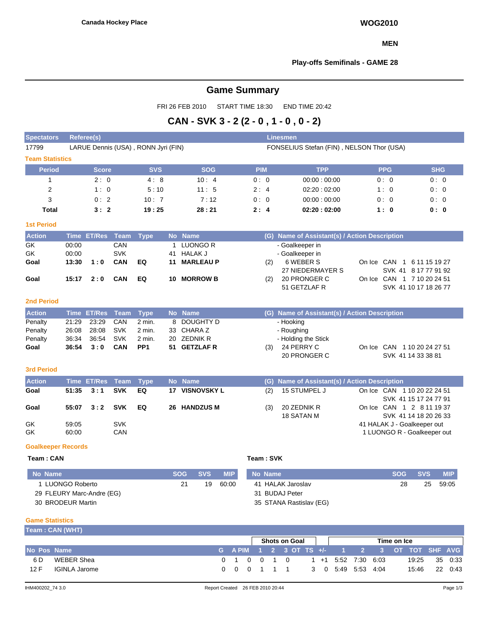### **MEN**

### **Play-offs Semifinals - GAME 28**

# **Game Summary**

FRI 26 FEB 2010 START TIME 18:30 END TIME 20:42

# **CAN - SVK 3 - 2 (2 - 0 , 1 - 0 , 0 - 2)**

| <b>Spectators</b>         | <b>Referee(s)</b> |                    |             |                                     |           |                          |            |  |            |     | <b>Linesmen</b>                               |  |                                                      |            |            |  |  |  |  |  |  |
|---------------------------|-------------------|--------------------|-------------|-------------------------------------|-----------|--------------------------|------------|--|------------|-----|-----------------------------------------------|--|------------------------------------------------------|------------|------------|--|--|--|--|--|--|
| 17799                     |                   |                    |             | LARUE Dennis (USA), RONN Jyri (FIN) |           |                          |            |  |            |     | FONSELIUS Stefan (FIN), NELSON Thor (USA)     |  |                                                      |            |            |  |  |  |  |  |  |
| <b>Team Statistics</b>    |                   |                    |             |                                     |           |                          |            |  |            |     |                                               |  |                                                      |            |            |  |  |  |  |  |  |
| <b>Period</b>             |                   | <b>Score</b>       |             | <b>SVS</b>                          |           |                          | <b>SOG</b> |  | <b>PIM</b> |     | <b>TPP</b>                                    |  | <b>PPG</b>                                           |            | <b>SHG</b> |  |  |  |  |  |  |
| $\mathbf{1}$              |                   | 2:0                |             | 4:8                                 |           |                          | 10:4       |  | 0:0        |     | 00:00:00:00                                   |  | 0:0                                                  |            | 0:0        |  |  |  |  |  |  |
| $\overline{2}$            |                   | 1:0                |             | 5:10                                |           |                          | 11:5       |  | 2:4        |     | 02:20:02:00                                   |  | 1:0                                                  |            | 0:0        |  |  |  |  |  |  |
| 3                         |                   | 0:2                |             | 10:7                                |           |                          | 7:12       |  | 0:0        |     | 00:00:00:00                                   |  | 0:0                                                  |            | 0:0        |  |  |  |  |  |  |
| <b>Total</b>              |                   | 3:2                |             | 19:25                               |           |                          | 28:21      |  | 2:4        |     | 02:20:02:00                                   |  | 1:0                                                  |            | 0: 0       |  |  |  |  |  |  |
| <b>1st Period</b>         |                   |                    |             |                                     |           |                          |            |  |            |     |                                               |  |                                                      |            |            |  |  |  |  |  |  |
| <b>Action</b>             |                   | Time ET/Res        | <b>Team</b> | <b>Type</b>                         |           | No Name                  |            |  |            |     | (G) Name of Assistant(s) / Action Description |  |                                                      |            |            |  |  |  |  |  |  |
| GK                        | 00:00             |                    | CAN         |                                     | 1         | <b>LUONGO R</b>          |            |  |            |     | - Goalkeeper in                               |  |                                                      |            |            |  |  |  |  |  |  |
| <b>GK</b>                 | 00:00             |                    | <b>SVK</b>  |                                     | 41        | <b>HALAK J</b>           |            |  |            |     | - Goalkeeper in                               |  |                                                      |            |            |  |  |  |  |  |  |
| Goal                      | 13:30             | 1:0                | CAN         | EQ                                  | 11        | <b>MARLEAU P</b>         |            |  |            | (2) | 6 WEBER S                                     |  | On Ice CAN 1 6 11 15 19 27                           |            |            |  |  |  |  |  |  |
|                           |                   |                    |             |                                     |           |                          |            |  |            |     | 27 NIEDERMAYER S                              |  | SVK 41 8 17 77 91 92                                 |            |            |  |  |  |  |  |  |
| Goal                      | 15:17             | 2:0                | <b>CAN</b>  | EQ                                  | 10        | <b>MORROW B</b>          |            |  |            | (2) | 20 PRONGER C                                  |  | On Ice CAN 1 7 10 20 24 51                           |            |            |  |  |  |  |  |  |
|                           |                   |                    |             |                                     |           |                          |            |  |            |     | 51 GETZLAF R                                  |  | SVK 41 10 17 18 26 77                                |            |            |  |  |  |  |  |  |
| <b>2nd Period</b>         |                   |                    |             |                                     |           |                          |            |  |            |     |                                               |  |                                                      |            |            |  |  |  |  |  |  |
| <b>Action</b>             | <b>Time</b>       | <b>ET/Res</b>      | Team        | <b>Type</b>                         | <b>No</b> | <b>Name</b>              |            |  |            | (G) | Name of Assistant(s) / Action Description     |  |                                                      |            |            |  |  |  |  |  |  |
| Penalty                   | 21:29             | 23:29              | CAN         | 2 min.                              | 8         | <b>DOUGHTY D</b>         |            |  |            |     | - Hooking                                     |  |                                                      |            |            |  |  |  |  |  |  |
| Penalty                   | 26:08             | 28:08              | <b>SVK</b>  | 2 min.                              | 33        | CHARA Z                  |            |  |            |     | - Roughing                                    |  |                                                      |            |            |  |  |  |  |  |  |
| Penalty                   | 36:34             | 36:54              | <b>SVK</b>  | 2 min.                              | 20        | <b>ZEDNIK R</b>          |            |  |            |     | - Holding the Stick                           |  |                                                      |            |            |  |  |  |  |  |  |
| Goal                      | 36:54             | 3:0                | CAN         | PP <sub>1</sub>                     | 51        | <b>GETZLAF R</b>         |            |  |            | (3) | 24 PERRY C                                    |  | On Ice CAN 1 10 20 24 27 51                          |            |            |  |  |  |  |  |  |
|                           |                   |                    |             |                                     |           |                          |            |  |            |     | 20 PRONGER C                                  |  | SVK 41 14 33 38 81                                   |            |            |  |  |  |  |  |  |
| <b>3rd Period</b>         |                   |                    |             |                                     |           |                          |            |  |            |     |                                               |  |                                                      |            |            |  |  |  |  |  |  |
| <b>Action</b>             |                   | <b>Time ET/Res</b> | <b>Team</b> | <b>Type</b>                         |           | No Name                  |            |  |            | (G) | Name of Assistant(s) / Action Description     |  |                                                      |            |            |  |  |  |  |  |  |
| Goal                      | 51:35             | 3:1                | <b>SVK</b>  | EQ                                  | 17        | <b>VISNOVSKY L</b>       |            |  |            | (2) | 15 STUMPEL J                                  |  | On Ice CAN 1 10 20 22 24 51                          |            |            |  |  |  |  |  |  |
|                           |                   |                    |             |                                     |           |                          |            |  |            |     |                                               |  | SVK 41 15 17 24 77 91                                |            |            |  |  |  |  |  |  |
| Goal                      | 55:07             | 3:2                | <b>SVK</b>  | EQ                                  |           | 26 HANDZUS M             |            |  |            | (3) | 20 ZEDNIK R<br><b>18 SATAN M</b>              |  | On Ice CAN 1 2 8 11 19 37                            |            |            |  |  |  |  |  |  |
| GK                        | 59:05             |                    | <b>SVK</b>  |                                     |           |                          |            |  |            |     |                                               |  | SVK 41 14 18 20 26 33<br>41 HALAK J - Goalkeeper out |            |            |  |  |  |  |  |  |
| <b>GK</b>                 | 60:00             |                    | CAN         |                                     |           |                          |            |  |            |     |                                               |  | 1 LUONGO R - Goalkeeper out                          |            |            |  |  |  |  |  |  |
|                           |                   |                    |             |                                     |           |                          |            |  |            |     |                                               |  |                                                      |            |            |  |  |  |  |  |  |
| <b>Goalkeeper Records</b> |                   |                    |             |                                     |           |                          |            |  |            |     |                                               |  |                                                      |            |            |  |  |  |  |  |  |
| Team: CAN                 |                   |                    |             |                                     |           |                          |            |  | Team: SVK  |     |                                               |  |                                                      |            |            |  |  |  |  |  |  |
| <b>No Name</b>            |                   |                    |             |                                     |           | <b>SOG</b><br><b>SVS</b> | <b>MIP</b> |  | No Name    |     |                                               |  | <b>SOG</b>                                           | <b>SVS</b> | <b>MIP</b> |  |  |  |  |  |  |

| No Name                   | <b>SOG</b> | <b>SVS</b> | <b>MIP</b> | No Name                 | <b>SOG</b> | <b>SVS</b> | <b>MIP</b> |
|---------------------------|------------|------------|------------|-------------------------|------------|------------|------------|
| LUONGO Roberto            |            | 19         | 60:00      | 41 HALAK Jaroslav       | 28         | 25         | 59:05      |
| 29 FLEURY Marc-Andre (EG) |            |            |            | 31 BUDAJ Peter          |            |            |            |
| 30 BRODEUR Martin         |            |            |            | 35 STANA Rastislav (EG) |            |            |            |

#### **Game Statistics Team : CAN (WHT)**

|                    | <b>IBAIL . UAN (VVIII)</b> |  |                                     |  |  |                                             |  |  |  |  |       |  |         |
|--------------------|----------------------------|--|-------------------------------------|--|--|---------------------------------------------|--|--|--|--|-------|--|---------|
|                    |                            |  | <b>Shots on Goal</b><br>Time on Ice |  |  |                                             |  |  |  |  |       |  |         |
| <b>No Pos Name</b> |                            |  |                                     |  |  | (GAPIM 1 2 3 OT TS +/- 1 2 3 OT TOT SHFAVG) |  |  |  |  |       |  |         |
| 6 D                | WEBER Shea                 |  |                                     |  |  | 0 1 0 0 1 0 1 1 +1 5:52 7:30 6:03           |  |  |  |  | 19.25 |  | 35 0:33 |
| 12 F               | IGINLA Jarome              |  |                                     |  |  | 0 0 0 1 1 1 3 0 5:49 5:53 4:04              |  |  |  |  | 15:46 |  | 22 0:43 |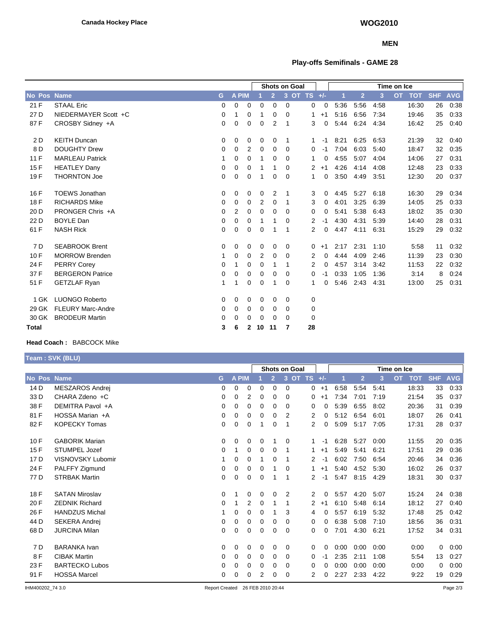### **MEN**

# **Play-offs Semifinals - GAME 28**

|        |                          |          |              |              | <b>Shots on Goal</b> |                          |          |              |      | Time on Ice |                |      |                         |            |            |  |
|--------|--------------------------|----------|--------------|--------------|----------------------|--------------------------|----------|--------------|------|-------------|----------------|------|-------------------------|------------|------------|--|
| No Pos | <b>Name</b>              | G        | <b>A PIM</b> |              |                      | $\overline{2}$           | 3        | OT TS $+/-$  |      |             | $\overline{2}$ | 3    | <b>OT</b><br><b>TOT</b> | <b>SHF</b> | <b>AVG</b> |  |
| 21 F   | <b>STAAL Eric</b>        | 0        | 0            | 0            | $\Omega$             | $\mathbf 0$              | 0        | 0            | 0    | 5:36        | 5:56           | 4:58 | 16:30                   | 26         | 0:38       |  |
| 27 D   | NIEDERMAYER Scott +C     | 0        | 1            | 0            | 1                    | $\mathbf 0$              | 0        | 1            | $+1$ | 5:16        | 6:56           | 7:34 | 19:46                   | 35         | 0:33       |  |
| 87F    | CROSBY Sidney +A         | $\Omega$ | 0            | 0            | $\Omega$             | 2                        | 1        | 3            | 0    | 5:44        | 6:24           | 4:34 | 16:42                   | 25         | 0:40       |  |
| 2D     | <b>KEITH Duncan</b>      | 0        | 0            | 0            | 0                    | 0                        | -1       | $\mathbf{1}$ | $-1$ | 8:21        | 6:25           | 6:53 | 21:39                   | 32         | 0:40       |  |
| 8 D    | <b>DOUGHTY Drew</b>      | 0        | 0            | 2            | 0                    | 0                        | 0        | 0            | $-1$ | 7:04        | 6:03           | 5:40 | 18:47                   | 32         | 0:35       |  |
| 11F    | <b>MARLEAU Patrick</b>   | 1        | 0            | 0            | 1                    | 0                        | 0        | 1            | 0    | 4:55        | 5:07           | 4:04 | 14:06                   | 27         | 0:31       |  |
| 15F    | <b>HEATLEY Dany</b>      | 0        | 0            | 0            | 1                    | -1                       | 0        | 2            | $+1$ | 4:26        | 4:14           | 4:08 | 12:48                   | 23         | 0:33       |  |
| 19F    | <b>THORNTON Joe</b>      | 0        | 0            | 0            | 1                    | 0                        | $\Omega$ | 1            | 0    | 3:50        | 4:49           | 3:51 | 12:30                   | 20         | 0:37       |  |
| 16 F   | <b>TOEWS Jonathan</b>    | 0        | 0            | 0            | 0                    | 2                        | 1        | 3            | 0    | 4:45        | 5:27           | 6:18 | 16:30                   | 29         | 0:34       |  |
| 18 F   | <b>RICHARDS Mike</b>     | 0        | 0            | 0            | 2                    | 0                        | 1        | 3            | 0    | 4:01        | 3:25           | 6:39 | 14:05                   | 25         | 0:33       |  |
| 20 D   | PRONGER Chris +A         | 0        | 2            | 0            | $\Omega$             | $\Omega$                 | $\Omega$ | 0            | 0    | 5:41        | 5:38           | 6:43 | 18:02                   | 35         | 0:30       |  |
| 22 D   | <b>BOYLE Dan</b>         | 0        | 0            | 0            | 1                    | -1                       | 0        | 2            | -1   | 4:30        | 4:31           | 5:39 | 14:40                   | 28         | 0:31       |  |
| 61 F   | <b>NASH Rick</b>         | 0        | 0            | 0            | 0                    |                          | 1        | 2            | 0    | 4:47        | 4:11           | 6:31 | 15:29                   | 29         | 0:32       |  |
| 7 D    | <b>SEABROOK Brent</b>    | 0        | 0            | 0            | 0                    | 0                        | 0        | 0            | $+1$ | 2:17        | 2:31           | 1:10 | 5:58                    | 11         | 0:32       |  |
| 10F    | <b>MORROW Brenden</b>    | 1        | 0            | 0            | 2                    | 0                        | 0        | 2            | 0    | 4:44        | 4:09           | 2:46 | 11:39                   | 23         | 0:30       |  |
| 24 F   | <b>PERRY Corey</b>       | 0        | 1            | 0            | 0                    | $\overline{\phantom{a}}$ | 1        | 2            | 0    | 4:57        | 3:14           | 3:42 | 11:53                   | 22         | 0:32       |  |
| 37 F   | <b>BERGERON Patrice</b>  | 0        | 0            | 0            | 0                    | 0                        | 0        | 0            | $-1$ | 0:33        | 1:05           | 1:36 | 3:14                    | 8          | 0:24       |  |
| 51 F   | <b>GETZLAF Ryan</b>      | 1        | 1            | 0            | 0                    | 1                        | 0        | 1            | 0    | 5:46        | 2:43           | 4:31 | 13:00                   | 25         | 0:31       |  |
| 1 GK   | <b>LUONGO Roberto</b>    | 0        | 0            | 0            | 0                    | 0                        | 0        | 0            |      |             |                |      |                         |            |            |  |
| 29 GK  | <b>FLEURY Marc-Andre</b> | 0        | 0            | 0            | 0                    | 0                        | 0        | 0            |      |             |                |      |                         |            |            |  |
| 30 GK  | <b>BRODEUR Martin</b>    | 0        | 0            | 0            | 0                    | 0                        | $\Omega$ | 0            |      |             |                |      |                         |            |            |  |
| Total  |                          | 3        | 6            | $\mathbf{2}$ | 10                   | 11                       | 7        | 28           |      |             |                |      |                         |            |            |  |

# **Head Coach :** BABCOCK Mike

**Team : SVK (BLU)**

|                 |                          |   |          |   |          |   | <b>Shots on Goal</b> |                |       |      |      |      | Time on Ice             |            |            |
|-----------------|--------------------------|---|----------|---|----------|---|----------------------|----------------|-------|------|------|------|-------------------------|------------|------------|
| No Pos          | <b>Name</b>              | G | A PIM    |   |          |   | OT<br>3              | <b>TS</b>      | $+/-$ |      | P    | 3    | <b>OT</b><br><b>TOT</b> | <b>SHF</b> | <b>AVG</b> |
| 14 D            | MESZAROS Andrej          | 0 | 0        | 0 | 0        | 0 | 0                    | $\overline{0}$ | $+1$  | 6:58 | 5:54 | 5:41 | 18:33                   | 33         | 0:33       |
| 33 D            | CHARA Zdeno +C           | 0 | 0        | 2 | 0        | 0 | 0                    | 0              | $+1$  | 7:34 | 7:01 | 7:19 | 21:54                   | 35         | 0:37       |
| 38 F            | DEMITRA Pavol +A         | 0 | 0        | 0 | 0        | 0 | 0                    | 0              | 0     | 5:39 | 6:55 | 8:02 | 20:36                   | 31         | 0:39       |
| 81 F            | HOSSA Marian +A          | 0 | 0        | 0 | 0        | 0 | 2                    | 2              | 0     | 5:12 | 6:54 | 6:01 | 18:07                   | 26         | 0:41       |
| 82F             | <b>KOPECKY Tomas</b>     | 0 | 0        | 0 |          | 0 | 1                    | 2              | 0     | 5:09 | 5:17 | 7:05 | 17:31                   | 28         | 0:37       |
| 10F             | <b>GABORIK Marian</b>    | 0 | $\Omega$ | 0 | 0        |   | 0                    | $\mathbf{1}$   | $-1$  | 6:28 | 5:27 | 0:00 | 11:55                   | 20         | 0:35       |
| 15F             | STUMPEL Jozef            | 0 |          | 0 | 0        | 0 | 1                    | 1              | $+1$  | 5:49 | 5:41 | 6:21 | 17:51                   | 29         | 0:36       |
| 17 <sub>D</sub> | <b>VISNOVSKY Lubomir</b> | 1 | 0        | 0 |          | 0 |                      | 2              | -1    | 6:02 | 7:50 | 6:54 | 20:46                   | 34         | 0:36       |
| 24 F            | PALFFY Zigmund           | 0 | 0        | 0 | 0        |   | $\Omega$             | 1              | $+1$  | 5:40 | 4:52 | 5:30 | 16:02                   | 26         | 0:37       |
| 77 D            | <b>STRBAK Martin</b>     | 0 | 0        | 0 | 0        |   | 1                    | 2              | $-1$  | 5:47 | 8:15 | 4:29 | 18:31                   | 30         | 0:37       |
| 18 F            | <b>SATAN Miroslav</b>    | 0 |          | 0 | $\Omega$ | 0 | 2                    | 2              | 0     | 5:57 | 4:20 | 5:07 | 15:24                   | 24         | 0:38       |
| 20 F            | <b>ZEDNIK Richard</b>    | 0 |          | 2 | 0        |   | 1                    | $\overline{2}$ | $+1$  | 6:10 | 5:48 | 6:14 | 18:12                   | 27         | 0:40       |
| 26 F            | <b>HANDZUS Michal</b>    | 1 | 0        | 0 | 0        |   | 3                    | 4              | 0     | 5:57 | 6:19 | 5:32 | 17:48                   | 25         | 0:42       |
| 44 D            | <b>SEKERA Andrej</b>     | 0 | 0        | 0 | 0        | 0 | 0                    | 0              | 0     | 6:38 | 5:08 | 7:10 | 18:56                   | 36         | 0:31       |
| 68 D            | <b>JURCINA Milan</b>     | 0 | 0        | 0 | 0        | 0 | 0                    | 0              | 0     | 7:01 | 4:30 | 6:21 | 17:52                   | 34         | 0:31       |
| 7 D             | <b>BARANKA Ivan</b>      | 0 | $\Omega$ | 0 | 0        | 0 | 0                    | 0              | 0     | 0:00 | 0:00 | 0:00 | 0:00                    | 0          | 0:00       |
| 8F              | <b>CIBAK Martin</b>      | 0 | 0        | 0 | 0        | 0 | 0                    | 0              | -1    | 2:35 | 2:11 | 1:08 | 5:54                    | 13         | 0:27       |
| 23 F            | <b>BARTECKO Lubos</b>    | 0 | 0        | 0 | 0        | 0 | 0                    | 0              | 0     | 0:00 | 0:00 | 0:00 | 0:00                    | 0          | 0:00       |
| 91 F            | <b>HOSSA Marcel</b>      | 0 | 0        | 0 | 2        | 0 | 0                    | 2              | 0     | 2:27 | 2:33 | 4:22 | 9:22                    | 19         | 0:29       |